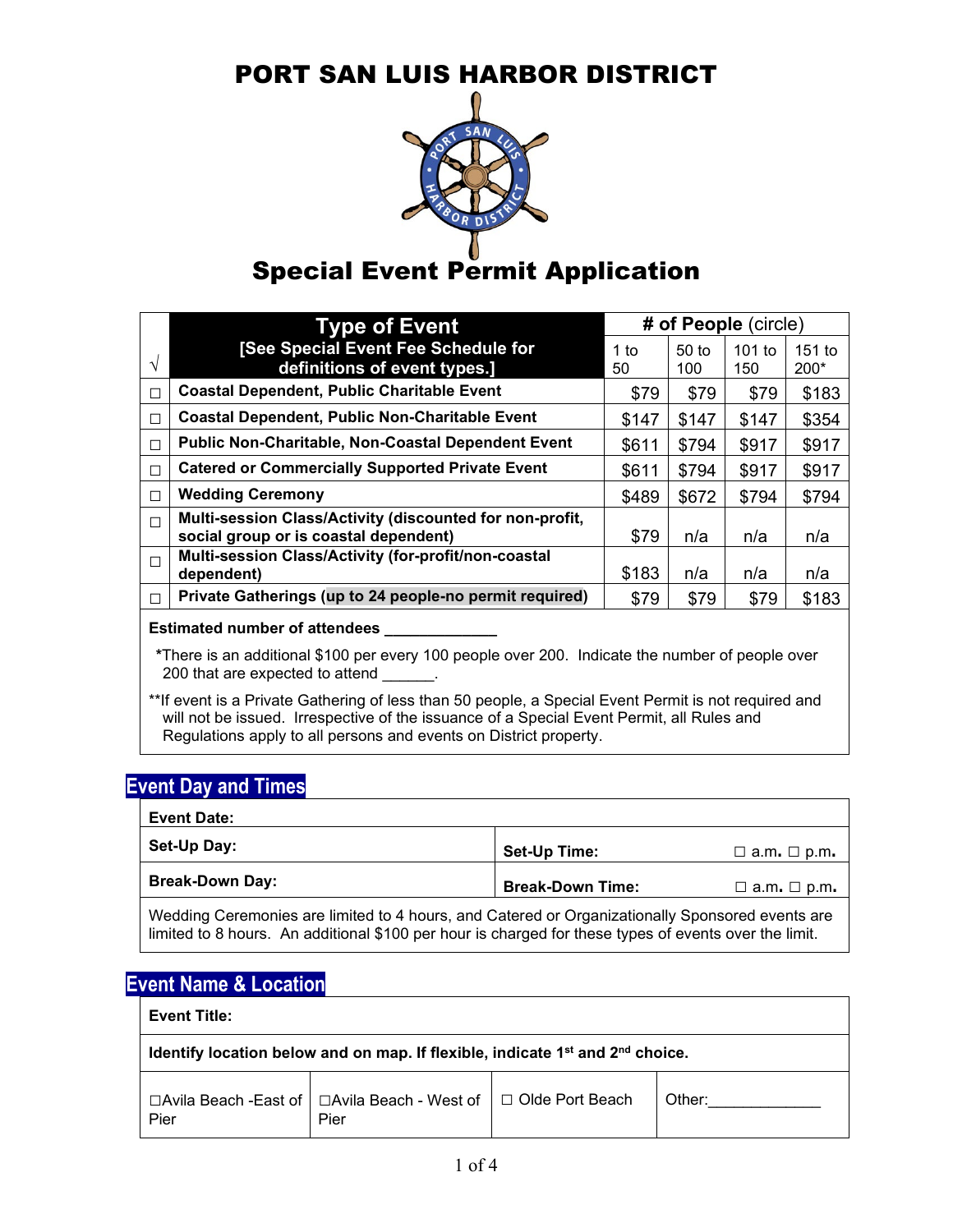

# **Special Event Permit Application**

|        | <b>Type of Event</b>                                                                              | # of People (circle) |                         |                 |                    |
|--------|---------------------------------------------------------------------------------------------------|----------------------|-------------------------|-----------------|--------------------|
| V      | [See Special Event Fee Schedule for<br>definitions of event types.]                               | 1 to<br>50           | 50 <sub>to</sub><br>100 | $101$ to<br>150 | $151$ to<br>$200*$ |
| $\Box$ | <b>Coastal Dependent, Public Charitable Event</b>                                                 | \$79                 | \$79                    | \$79            | \$183              |
| $\Box$ | <b>Coastal Dependent, Public Non-Charitable Event</b>                                             | \$147                | \$147                   | \$147           | \$354              |
| $\Box$ | Public Non-Charitable, Non-Coastal Dependent Event                                                | \$611                | \$794                   | \$917           | \$917              |
| $\Box$ | <b>Catered or Commercially Supported Private Event</b>                                            | \$611                | \$794                   | \$917           | \$917              |
| П      | <b>Wedding Ceremony</b>                                                                           | \$489                | \$672                   | \$794           | \$794              |
| $\Box$ | Multi-session Class/Activity (discounted for non-profit,<br>social group or is coastal dependent) | \$79                 | n/a                     | n/a             | n/a                |
| $\Box$ | Multi-session Class/Activity (for-profit/non-coastal<br>dependent)                                | \$183                | n/a                     | n/a             | n/a                |
| П      | Private Gatherings (up to 24 people-no permit required)                                           | \$79                 | \$79                    | \$79            | \$183              |

#### **Estimated number of attendees \_\_\_\_\_\_\_\_\_\_\_\_\_**

**\***There is an additional \$100 per every 100 people over 200. Indicate the number of people over 200 that are expected to attend

\*\*If event is a Private Gathering of less than 50 people, a Special Event Permit is not required and will not be issued. Irrespective of the issuance of a Special Event Permit, all Rules and Regulations apply to all persons and events on District property.

### **Event Day and Times**

| <b>Event Date:</b>     |                         |                         |
|------------------------|-------------------------|-------------------------|
| Set-Up Day:            | Set-Up Time:            | $\Box$ a.m. $\Box$ p.m. |
| <b>Break-Down Day:</b> | <b>Break-Down Time:</b> | $\Box$ a.m. $\Box$ p.m. |

Wedding Ceremonies are limited to 4 hours, and Catered or Organizationally Sponsored events are limited to 8 hours. An additional \$100 per hour is charged for these types of events over the limit.

### **Event Name & Location**

### **Event Title: Identify location below and on map. If flexible, indicate 1st and 2nd choice. □**Avila Beach -East of Pier **□**Avila Beach - West of Pier □ Olde Port Beach **Other:**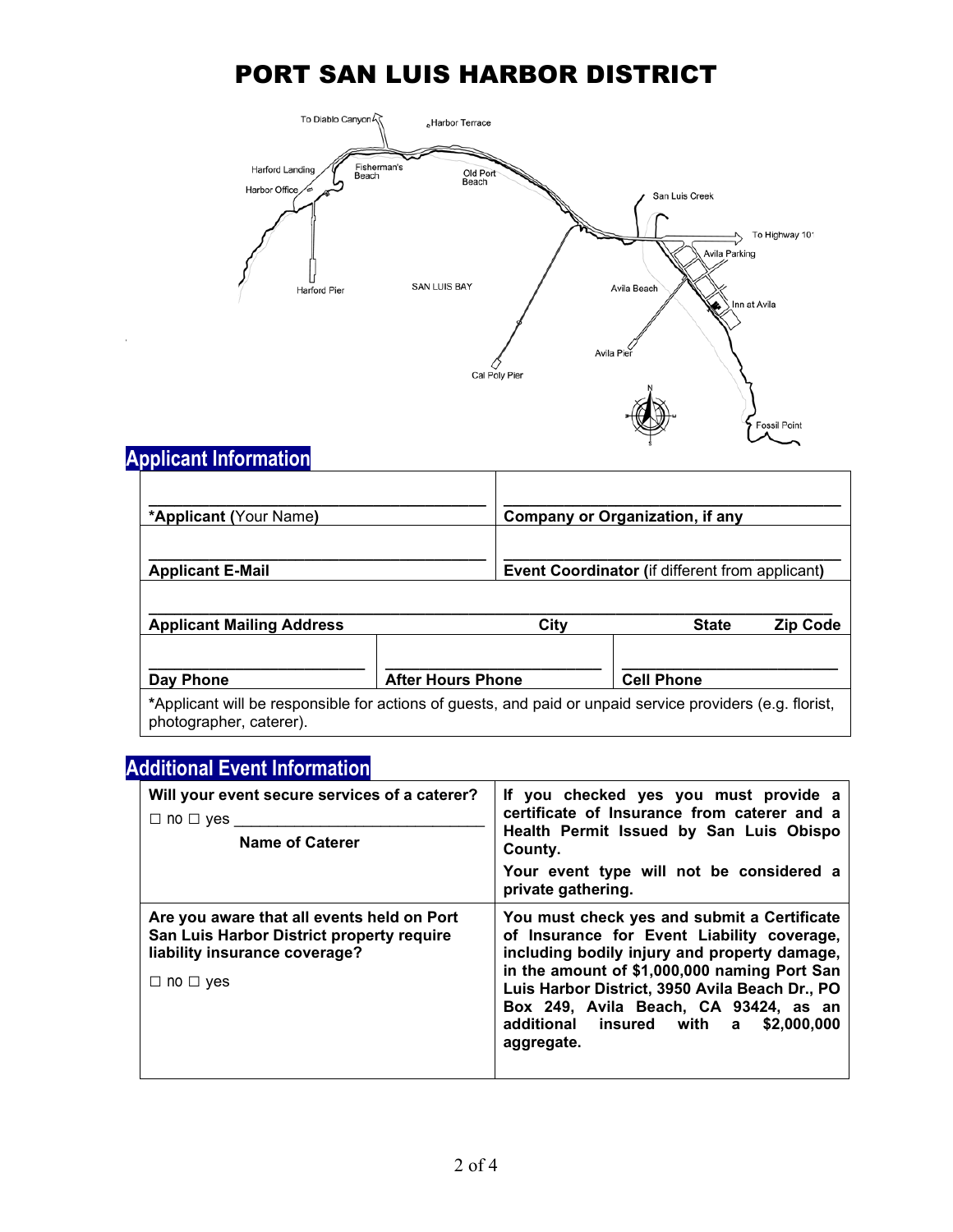

## **Applicant Information**

| <b>*Applicant (Your Name)</b>                                                                                                        |                          | <b>Company or Organization, if any</b>          |                   |              |                 |
|--------------------------------------------------------------------------------------------------------------------------------------|--------------------------|-------------------------------------------------|-------------------|--------------|-----------------|
| <b>Applicant E-Mail</b>                                                                                                              |                          | Event Coordinator (if different from applicant) |                   |              |                 |
| <b>Applicant Mailing Address</b>                                                                                                     |                          | City                                            |                   | <b>State</b> | <b>Zip Code</b> |
| Day Phone                                                                                                                            | <b>After Hours Phone</b> |                                                 | <b>Cell Phone</b> |              |                 |
| *Applicant will be responsible for actions of guests, and paid or unpaid service providers (e.g. florist,<br>photographer, caterer). |                          |                                                 |                   |              |                 |

## **Additional Event Information**

| Will your event secure services of a caterer?<br>$\Box$ no $\Box$ yes<br><b>Name of Caterer</b>                                                  | If you checked yes you must provide a<br>certificate of Insurance from caterer and a<br>Health Permit Issued by San Luis Obispo<br>County.<br>Your event type will not be considered a<br>private gathering.                                                                                                                                |
|--------------------------------------------------------------------------------------------------------------------------------------------------|---------------------------------------------------------------------------------------------------------------------------------------------------------------------------------------------------------------------------------------------------------------------------------------------------------------------------------------------|
| Are you aware that all events held on Port<br>San Luis Harbor District property require<br>liability insurance coverage?<br>$\Box$ no $\Box$ yes | You must check yes and submit a Certificate<br>of Insurance for Event Liability coverage,<br>including bodily injury and property damage,<br>in the amount of \$1,000,000 naming Port San<br>Luis Harbor District, 3950 Avila Beach Dr., PO<br>Box 249, Avila Beach, CA 93424, as an<br>additional insured with a \$2,000,000<br>aggregate. |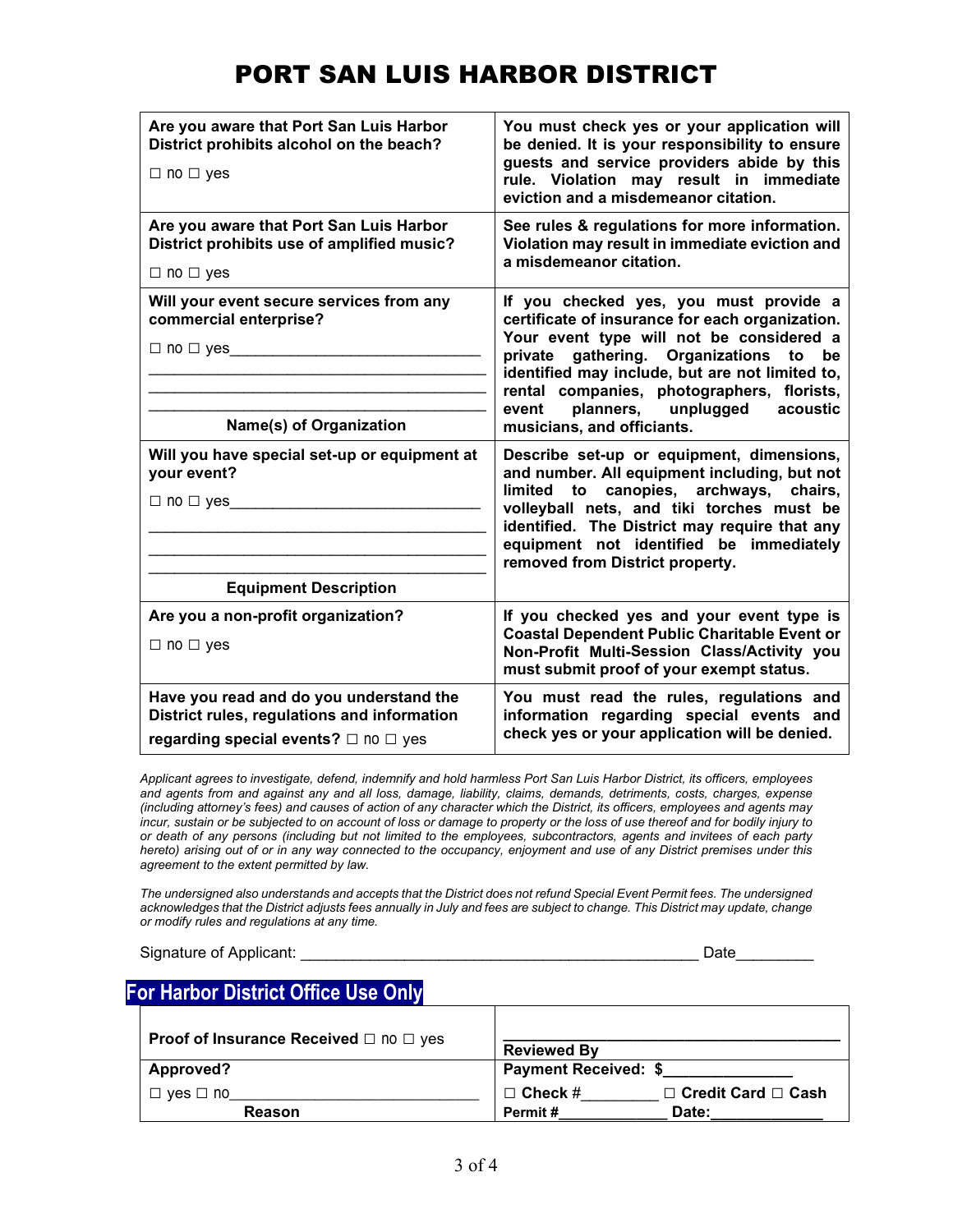| Are you aware that Port San Luis Harbor<br>District prohibits alcohol on the beach?<br>$\Box$ no $\Box$ yes                              | You must check yes or your application will<br>be denied. It is your responsibility to ensure<br>guests and service providers abide by this<br>rule. Violation may result in immediate<br>eviction and a misdemeanor citation.                                                                                                                                   |
|------------------------------------------------------------------------------------------------------------------------------------------|------------------------------------------------------------------------------------------------------------------------------------------------------------------------------------------------------------------------------------------------------------------------------------------------------------------------------------------------------------------|
| Are you aware that Port San Luis Harbor<br>District prohibits use of amplified music?<br>$\Box$ no $\Box$ yes                            | See rules & regulations for more information.<br>Violation may result in immediate eviction and<br>a misdemeanor citation.                                                                                                                                                                                                                                       |
| Will your event secure services from any<br>commercial enterprise?<br>$\Box$ no $\Box$ yes<br>Name(s) of Organization                    | If you checked yes, you must provide a<br>certificate of insurance for each organization.<br>Your event type will not be considered a<br>gathering. Organizations to<br>private<br>be<br>identified may include, but are not limited to,<br>rental companies, photographers, florists,<br>planners, unplugged<br>acoustic<br>event<br>musicians, and officiants. |
| Will you have special set-up or equipment at<br>your event?<br>$\Box$ no $\Box$ yes<br><b>Equipment Description</b>                      | Describe set-up or equipment, dimensions,<br>and number. All equipment including, but not<br>limited to canopies, archways, chairs,<br>volleyball nets, and tiki torches must be<br>identified. The District may require that any<br>equipment not identified be immediately<br>removed from District property.                                                  |
| Are you a non-profit organization?<br>$\Box$ no $\Box$ yes                                                                               | If you checked yes and your event type is<br><b>Coastal Dependent Public Charitable Event or</b><br>Non-Profit Multi-Session Class/Activity you<br>must submit proof of your exempt status.                                                                                                                                                                      |
| Have you read and do you understand the<br>District rules, regulations and information<br>regarding special events? $\Box$ no $\Box$ yes | You must read the rules, regulations and<br>information regarding special events and<br>check yes or your application will be denied.                                                                                                                                                                                                                            |

*Applicant agrees to investigate, defend, indemnify and hold harmless Port San Luis Harbor District, its officers, employees and agents from and against any and all loss, damage, liability, claims, demands, detriments, costs, charges, expense (including attorney's fees) and causes of action of any character which the District, its officers, employees and agents may incur, sustain or be subjected to on account of loss or damage to property or the loss of use thereof and for bodily injury to or death of any persons (including but not limited to the employees, subcontractors, agents and invitees of each party hereto) arising out of or in any way connected to the occupancy, enjoyment and use of any District premises under this agreement to the extent permitted by law.* 

*The undersigned also understands and accepts that the District does not refund Special Event Permit fees. The undersigned acknowledges that the District adjusts fees annually in July and fees are subject to change. This District may update, change or modify rules and regulations at any time.* 

Signature of Applicant:  $\Box$ 

# **For Harbor District Office Use Only**

| <b>Proof of Insurance Received</b> $\Box$ no $\Box$ yes | <b>Reviewed By</b>                               |  |
|---------------------------------------------------------|--------------------------------------------------|--|
| Approved?                                               | <b>Payment Received: \$</b>                      |  |
| $ves \Box no$                                           | $\Box$ Credit Card $\Box$ Cash<br>$\Box$ Check # |  |
| <b>Reason</b>                                           | Date:<br>Permit#                                 |  |